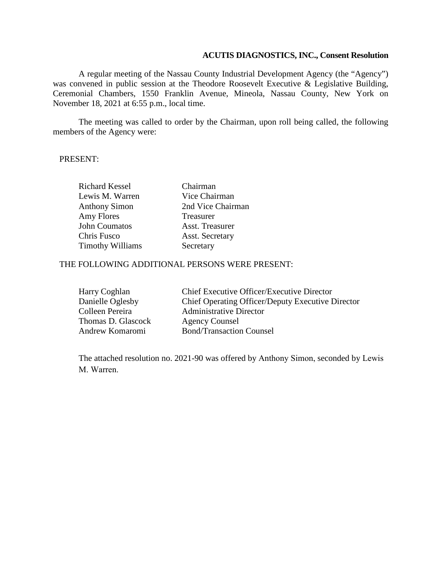### **ACUTIS DIAGNOSTICS, INC., Consent Resolution**

A regular meeting of the Nassau County Industrial Development Agency (the "Agency") was convened in public session at the Theodore Roosevelt Executive & Legislative Building, Ceremonial Chambers, 1550 Franklin Avenue, Mineola, Nassau County, New York on November 18, 2021 at 6:55 p.m., local time.

The meeting was called to order by the Chairman, upon roll being called, the following members of the Agency were:

#### PRESENT:

| <b>Richard Kessel</b>   | Chairman               |
|-------------------------|------------------------|
| Lewis M. Warren         | Vice Chairman          |
| <b>Anthony Simon</b>    | 2nd Vice Chairman      |
| Amy Flores              | Treasurer              |
| John Coumatos           | Asst. Treasurer        |
| Chris Fusco             | <b>Asst. Secretary</b> |
| <b>Timothy Williams</b> | Secretary              |

## THE FOLLOWING ADDITIONAL PERSONS WERE PRESENT:

| Harry Coghlan      | <b>Chief Executive Officer/Executive Director</b> |
|--------------------|---------------------------------------------------|
| Danielle Oglesby   | Chief Operating Officer/Deputy Executive Director |
| Colleen Pereira    | <b>Administrative Director</b>                    |
| Thomas D. Glascock | Agency Counsel                                    |
| Andrew Komaromi    | <b>Bond/Transaction Counsel</b>                   |

The attached resolution no. 2021-90 was offered by Anthony Simon, seconded by Lewis M. Warren.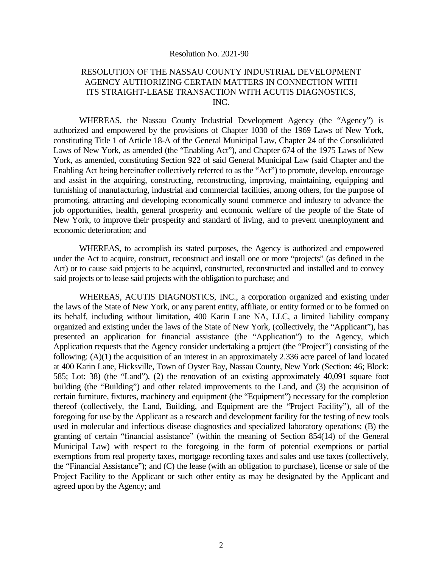#### Resolution No. 2021-90

### RESOLUTION OF THE NASSAU COUNTY INDUSTRIAL DEVELOPMENT AGENCY AUTHORIZING CERTAIN MATTERS IN CONNECTION WITH ITS STRAIGHT-LEASE TRANSACTION WITH ACUTIS DIAGNOSTICS, INC.

WHEREAS, the Nassau County Industrial Development Agency (the "Agency") is authorized and empowered by the provisions of Chapter 1030 of the 1969 Laws of New York, constituting Title 1 of Article 18-A of the General Municipal Law, Chapter 24 of the Consolidated Laws of New York, as amended (the "Enabling Act"), and Chapter 674 of the 1975 Laws of New York, as amended, constituting Section 922 of said General Municipal Law (said Chapter and the Enabling Act being hereinafter collectively referred to as the "Act") to promote, develop, encourage and assist in the acquiring, constructing, reconstructing, improving, maintaining, equipping and furnishing of manufacturing, industrial and commercial facilities, among others, for the purpose of promoting, attracting and developing economically sound commerce and industry to advance the job opportunities, health, general prosperity and economic welfare of the people of the State of New York, to improve their prosperity and standard of living, and to prevent unemployment and economic deterioration; and

WHEREAS, to accomplish its stated purposes, the Agency is authorized and empowered under the Act to acquire, construct, reconstruct and install one or more "projects" (as defined in the Act) or to cause said projects to be acquired, constructed, reconstructed and installed and to convey said projects or to lease said projects with the obligation to purchase; and

WHEREAS, ACUTIS DIAGNOSTICS, INC., a corporation organized and existing under the laws of the State of New York, or any parent entity, affiliate, or entity formed or to be formed on its behalf, including without limitation, 400 Karin Lane NA, LLC, a limited liability company organized and existing under the laws of the State of New York, (collectively, the "Applicant"), has presented an application for financial assistance (the "Application") to the Agency, which Application requests that the Agency consider undertaking a project (the "Project") consisting of the following: (A)(1) the acquisition of an interest in an approximately 2.336 acre parcel of land located at 400 Karin Lane, Hicksville, Town of Oyster Bay, Nassau County, New York (Section: 46; Block: 585; Lot: 38) (the "Land"), (2) the renovation of an existing approximately 40,091 square foot building (the "Building") and other related improvements to the Land, and (3) the acquisition of certain furniture, fixtures, machinery and equipment (the "Equipment") necessary for the completion thereof (collectively, the Land, Building, and Equipment are the "Project Facility"), all of the foregoing for use by the Applicant as a research and development facility for the testing of new tools used in molecular and infectious disease diagnostics and specialized laboratory operations; (B) the granting of certain "financial assistance" (within the meaning of Section 854(14) of the General Municipal Law) with respect to the foregoing in the form of potential exemptions or partial exemptions from real property taxes, mortgage recording taxes and sales and use taxes (collectively, the "Financial Assistance"); and (C) the lease (with an obligation to purchase), license or sale of the Project Facility to the Applicant or such other entity as may be designated by the Applicant and agreed upon by the Agency; and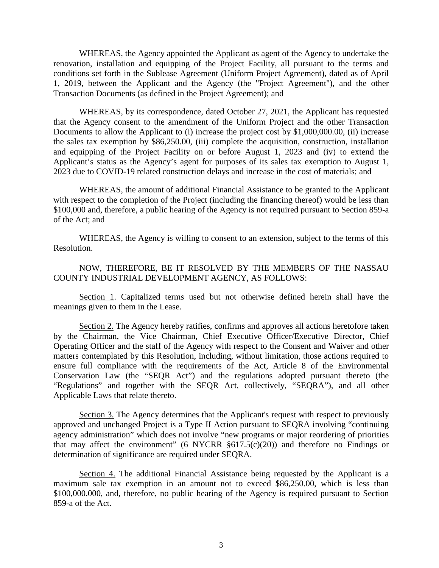WHEREAS, the Agency appointed the Applicant as agent of the Agency to undertake the renovation, installation and equipping of the Project Facility, all pursuant to the terms and conditions set forth in the Sublease Agreement (Uniform Project Agreement), dated as of April 1, 2019, between the Applicant and the Agency (the "Project Agreement"), and the other Transaction Documents (as defined in the Project Agreement); and

WHEREAS, by its correspondence, dated October 27, 2021, the Applicant has requested that the Agency consent to the amendment of the Uniform Project and the other Transaction Documents to allow the Applicant to (i) increase the project cost by \$1,000,000.00, (ii) increase the sales tax exemption by \$86,250.00, (iii) complete the acquisition, construction, installation and equipping of the Project Facility on or before August 1, 2023 and (iv) to extend the Applicant's status as the Agency's agent for purposes of its sales tax exemption to August 1, 2023 due to COVID-19 related construction delays and increase in the cost of materials; and

WHEREAS, the amount of additional Financial Assistance to be granted to the Applicant with respect to the completion of the Project (including the financing thereof) would be less than \$100,000 and, therefore, a public hearing of the Agency is not required pursuant to Section 859-a of the Act; and

WHEREAS, the Agency is willing to consent to an extension, subject to the terms of this Resolution.

NOW, THEREFORE, BE IT RESOLVED BY THE MEMBERS OF THE NASSAU COUNTY INDUSTRIAL DEVELOPMENT AGENCY, AS FOLLOWS:

Section 1. Capitalized terms used but not otherwise defined herein shall have the meanings given to them in the Lease.

Section 2. The Agency hereby ratifies, confirms and approves all actions heretofore taken by the Chairman, the Vice Chairman, Chief Executive Officer/Executive Director, Chief Operating Officer and the staff of the Agency with respect to the Consent and Waiver and other matters contemplated by this Resolution, including, without limitation, those actions required to ensure full compliance with the requirements of the Act, Article 8 of the Environmental Conservation Law (the "SEQR Act") and the regulations adopted pursuant thereto (the "Regulations" and together with the SEQR Act, collectively, "SEQRA"), and all other Applicable Laws that relate thereto.

Section 3. The Agency determines that the Applicant's request with respect to previously approved and unchanged Project is a Type II Action pursuant to SEQRA involving "continuing agency administration" which does not involve "new programs or major reordering of priorities that may affect the environment" (6 NYCRR  $\S617.5(c)(20)$ ) and therefore no Findings or determination of significance are required under SEQRA.

Section 4. The additional Financial Assistance being requested by the Applicant is a maximum sale tax exemption in an amount not to exceed \$86,250.00, which is less than \$100,000.000, and, therefore, no public hearing of the Agency is required pursuant to Section 859-a of the Act.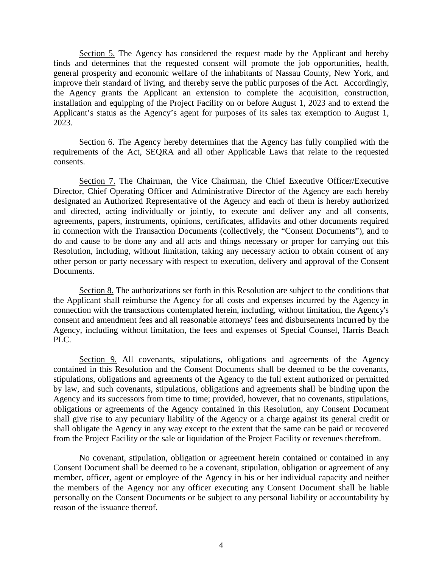Section 5. The Agency has considered the request made by the Applicant and hereby finds and determines that the requested consent will promote the job opportunities, health, general prosperity and economic welfare of the inhabitants of Nassau County, New York, and improve their standard of living, and thereby serve the public purposes of the Act. Accordingly, the Agency grants the Applicant an extension to complete the acquisition, construction, installation and equipping of the Project Facility on or before August 1, 2023 and to extend the Applicant's status as the Agency's agent for purposes of its sales tax exemption to August 1, 2023.

Section 6. The Agency hereby determines that the Agency has fully complied with the requirements of the Act, SEQRA and all other Applicable Laws that relate to the requested consents.

Section 7. The Chairman, the Vice Chairman, the Chief Executive Officer/Executive Director, Chief Operating Officer and Administrative Director of the Agency are each hereby designated an Authorized Representative of the Agency and each of them is hereby authorized and directed, acting individually or jointly, to execute and deliver any and all consents, agreements, papers, instruments, opinions, certificates, affidavits and other documents required in connection with the Transaction Documents (collectively, the "Consent Documents"), and to do and cause to be done any and all acts and things necessary or proper for carrying out this Resolution, including, without limitation, taking any necessary action to obtain consent of any other person or party necessary with respect to execution, delivery and approval of the Consent Documents.

Section 8. The authorizations set forth in this Resolution are subject to the conditions that the Applicant shall reimburse the Agency for all costs and expenses incurred by the Agency in connection with the transactions contemplated herein, including, without limitation, the Agency's consent and amendment fees and all reasonable attorneys' fees and disbursements incurred by the Agency, including without limitation, the fees and expenses of Special Counsel, Harris Beach PLC.

Section 9. All covenants, stipulations, obligations and agreements of the Agency contained in this Resolution and the Consent Documents shall be deemed to be the covenants, stipulations, obligations and agreements of the Agency to the full extent authorized or permitted by law, and such covenants, stipulations, obligations and agreements shall be binding upon the Agency and its successors from time to time; provided, however, that no covenants, stipulations, obligations or agreements of the Agency contained in this Resolution, any Consent Document shall give rise to any pecuniary liability of the Agency or a charge against its general credit or shall obligate the Agency in any way except to the extent that the same can be paid or recovered from the Project Facility or the sale or liquidation of the Project Facility or revenues therefrom.

No covenant, stipulation, obligation or agreement herein contained or contained in any Consent Document shall be deemed to be a covenant, stipulation, obligation or agreement of any member, officer, agent or employee of the Agency in his or her individual capacity and neither the members of the Agency nor any officer executing any Consent Document shall be liable personally on the Consent Documents or be subject to any personal liability or accountability by reason of the issuance thereof.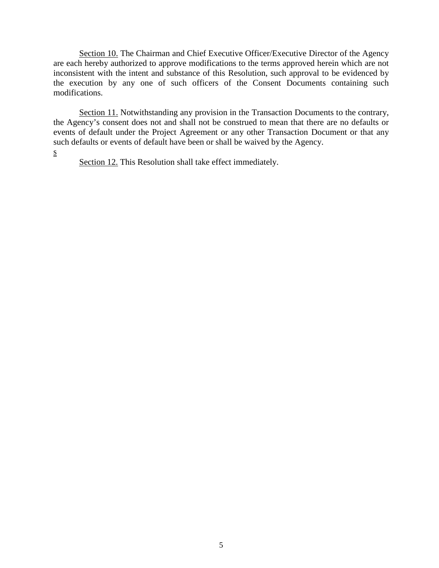Section 10. The Chairman and Chief Executive Officer/Executive Director of the Agency are each hereby authorized to approve modifications to the terms approved herein which are not inconsistent with the intent and substance of this Resolution, such approval to be evidenced by the execution by any one of such officers of the Consent Documents containing such modifications.

Section 11. Notwithstanding any provision in the Transaction Documents to the contrary, the Agency's consent does not and shall not be construed to mean that there are no defaults or events of default under the Project Agreement or any other Transaction Document or that any such defaults or events of default have been or shall be waived by the Agency.

s

Section 12. This Resolution shall take effect immediately.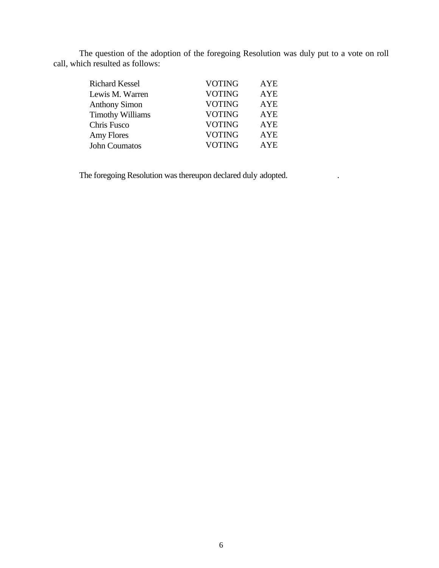The question of the adoption of the foregoing Resolution was duly put to a vote on roll call, which resulted as follows:

| <b>Richard Kessel</b>   | <b>VOTING</b> | AYE        |
|-------------------------|---------------|------------|
| Lewis M. Warren         | <b>VOTING</b> | <b>AYE</b> |
| <b>Anthony Simon</b>    | <b>VOTING</b> | <b>AYE</b> |
| <b>Timothy Williams</b> | <b>VOTING</b> | <b>AYE</b> |
| Chris Fusco             | <b>VOTING</b> | <b>AYE</b> |
| Amy Flores              | <b>VOTING</b> | <b>AYE</b> |
| John Coumatos           | <b>VOTING</b> | AYE.       |

The foregoing Resolution was thereupon declared duly adopted. .